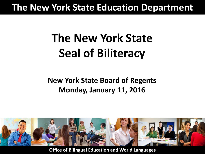### **The New York State Education Department**

# **The New York State Seal of Biliteracy**

#### **New York State Board of Regents Monday, January 11, 2016**



Office of Bilingual Education and World Languages **Office of Bilingual Education and World Languages**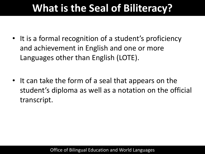# **What is the Seal of Biliteracy?**

- It is a formal recognition of a student's proficiency and achievement in English and one or more Languages other than English (LOTE).
- It can take the form of a seal that appears on the student's diploma as well as a notation on the official transcript.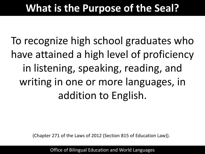# **What is the Purpose of the Seal?**

To recognize high school graduates who have attained a high level of proficiency in listening, speaking, reading, and writing in one or more languages, in addition to English.

(Chapter 271 of the Laws of 2012 (Section 815 of Education Law)).

Office of Bilingual Education and World Languages Office of Bilingual Education and World Languages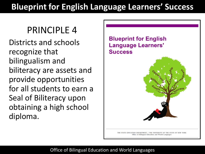#### **Blueprint for English Language Learners' Success**

#### **PRINCIPLE 4**

Districts and schools recognize that bilingualism and biliteracy are assets and provide opportunities for all students to earn a Seal of Biliteracy upon obtaining a high school diploma.

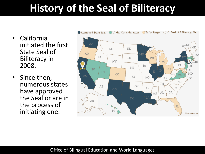# **History of the Seal of Biliteracy**

- California initiated the first State Seal of Biliteracy in 2008.
- Since then, numerous states have approved the Seal or are in the process of initiating one.



#### Office of Bilingual Education and World Languages Office of Bilingual Education and World Languages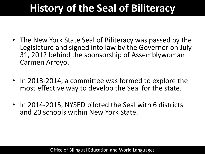# **History of the Seal of Biliteracy**

- The New York State Seal of Biliteracy was passed by the Legislature and signed into law by the Governor on July 31, 2012 behind the sponsorship of Assemblywoman Carmen Arroyo.
- In 2013-2014, a committee was formed to explore the most effective way to develop the Seal for the state.
- In 2014-2015, NYSED piloted the Seal with 6 districts and 20 schools within New York State.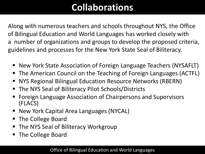# **Collaborations**

 Along with numerous teachers and schools throughout NYS, the Office of Bilingual Education and World Languages has worked closely with a number of organizations and groups to develop the proposed criteria, guidelines and processes for the New York State Seal of Biliteracy.

- New York State Association of Foreign Language Teachers (NYSAFLT)
- The American Council on the Teaching of Foreign Languages (ACTFL)
- NYS Regional Bilingual Education Resource Networks (RBERN)
- The NYS Seal of Biliteracy Pilot Schools/Districts
- Foreign Language Association of Chairpersons and Supervisors (FLACS)
- New York Capital Area Languages (NYCAL)
- The College Board
- The NYS Seal of Biliteracy Workgroup
- The College Board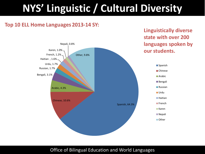# **NYS' Linguistic / Cultural Diversity**

**Linguistically diverse** 

#### Top 10 ELL Home Languages 2013-14 SY:

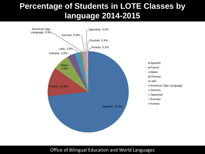#### **Percentage of Students in LOTE Classes by language 2014-2015**



Office of Bilingual Education and World Languages Office of Bilingual Education and World Languages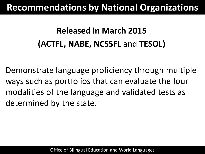### **Recommendations by National Organizations**

# **Released in March 2015 (ACTFL, NABE, NCSSFL** and **TESOL)**

Demonstrate language proficiency through multiple ways such as portfolios that can evaluate the four modalities of the language and validated tests as determined by the state.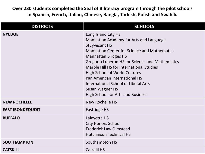**Over 230 students completed the Seal of Biliteracy program through the pilot schools in Spanish, French, Italian, Chinese, Bangla, Turkish, Polish and Swahili.**

| <b>DISTRICTS</b>        | <b>SCHOOLS</b>                                                                                                                                                                                                                                                                                                                                                                                                                                              |
|-------------------------|-------------------------------------------------------------------------------------------------------------------------------------------------------------------------------------------------------------------------------------------------------------------------------------------------------------------------------------------------------------------------------------------------------------------------------------------------------------|
| <b>NYCDOE</b>           | Long Island City HS<br>Manhattan Academy for Arts and Language<br><b>Stuyvesant HS</b><br><b>Manhattan Center for Science and Mathematics</b><br><b>Manhattan Bridges HS</b><br>Gregorio Luperon HS for Science and Mathematics<br>Marble Hill HS for International Studies<br><b>High School of World Cultures</b><br>Pan American International HS<br>International School of Liberal Arts<br>Susan Wagner HS<br><b>High School for Arts and Business</b> |
| <b>NEW ROCHELLE</b>     | New Rochelle HS                                                                                                                                                                                                                                                                                                                                                                                                                                             |
| <b>EAST IRONDEQUOIT</b> | Eastridge HS                                                                                                                                                                                                                                                                                                                                                                                                                                                |
| <b>BUFFALO</b>          | Lafayette HS<br><b>City Honors School</b><br><b>Frederick Law Olmstead</b><br><b>Hutchinson Technical HS</b>                                                                                                                                                                                                                                                                                                                                                |
| <b>SOUTHAMPTON</b>      | Southampton HS                                                                                                                                                                                                                                                                                                                                                                                                                                              |
| <b>CATSKILL</b>         | <b>Catskill HS</b>                                                                                                                                                                                                                                                                                                                                                                                                                                          |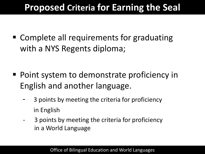# **Proposed Criteria for Earning the Seal**

■ Complete all requirements for graduating with a NYS Regents diploma;

- Point system to demonstrate proficiency in English and another language.
	- 3 points by meeting the criteria for proficiency in English
	- 3 points by meeting the criteria for proficiency in a World Language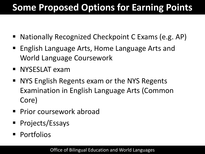# **Some Proposed Options for Earning Points**

- Nationally Recognized Checkpoint C Exams (e.g. AP)
- English Language Arts, Home Language Arts and World Language Coursework
- **NYSESLAT exam**
- NYS English Regents exam or the NYS Regents Examination in English Language Arts (Common Core)
- **Prior coursework abroad**
- **Projects/Essays**
- **Portfolios**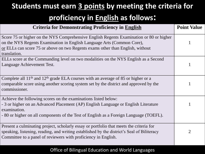### **Students must earn 3 points by meeting the criteria for**

#### **proficiency in English as follows:**

| <b>Criteria for Demonstrating Proficiency in English</b>                                                                                                                                                                                                            | <b>Point Value</b> |
|---------------------------------------------------------------------------------------------------------------------------------------------------------------------------------------------------------------------------------------------------------------------|--------------------|
| Score 75 or higher on the NYS Comprehensive English Regents Examination or 80 or higher<br>on the NYS Regents Examination in English Language Arts (Common Core),<br>or ELLs can score 75 or above on two Regents exams other than English, without<br>translation. |                    |
| ELLs score at the Commanding level on two modalities on the NYS English as a Second<br>Language Achievement Test.                                                                                                                                                   |                    |
| Complete all $11th$ and $12th$ grade ELA courses with an average of 85 or higher or a<br>comparable score using another scoring system set by the district and approved by the<br>commissioner.                                                                     |                    |
| Achieve the following scores on the examinations listed below:<br>- 3 or higher on an Advanced Placement (AP) English Language or English Literature<br>examination.<br>- 80 or higher on all components of the Test of English as a Foreign Language (TOEFL).      |                    |
| Present a culminating project, scholarly essay or portfolio that meets the criteria for<br>speaking, listening, reading, and writing established by the district's Seal of Biliteracy<br>Committee to a panel of reviewers with proficiency in English.             | 2                  |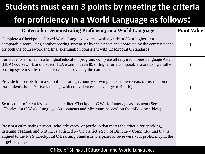# **Students must earn 3 points by meeting the criteria for proficiency in a World Language as follows:**

| <b>Criteria for Demonstrating Proficiency in a World Language</b>                                                                                                                                                                                                                                                                      | <b>Point Value</b> |
|----------------------------------------------------------------------------------------------------------------------------------------------------------------------------------------------------------------------------------------------------------------------------------------------------------------------------------------|--------------------|
| Complete a Checkpoint C level World Language course, with a grade of 85 or higher or a<br>comparable score using another scoring system set by the district and approved by the commissioner<br>for both the coursework and final examination consistent with Checkpoint C standards.                                                  |                    |
| For students enrolled in a bilingual education program, complete all required Home Language Arts<br>(HLA) coursework and district HLA exam with an 85 or higher or a comparable score using another<br>scoring system set by the district and approved by the commissioner.                                                            |                    |
| Provide transcripts from a school in a foreign country showing at least three years of instruction in<br>the student's home/native language with equivalent grade average of B or higher.                                                                                                                                              |                    |
| Score at a proficient level on an accredited Checkpoint C World Language assessment (See<br>"Checkpoint C World Language Assessments and Minimum Scores" on the following slides.)                                                                                                                                                     |                    |
| Present a culminating project, scholarly essay, or portfolio that meets the criteria for speaking,<br>listening, reading, and writing established by the district's Seal of Biliteracy Committee and that is<br>aligned to the NYS Checkpoint C Learning Standards to a panel of reviewers with proficiency in the<br>target language. | $\mathfrak{D}$     |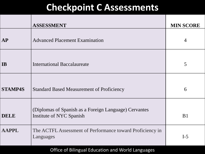### **Checkpoint C Assessments**

|                | <b>ASSESSMENT</b>                                                                 | <b>MIN SCORE</b> |
|----------------|-----------------------------------------------------------------------------------|------------------|
| <b>AP</b>      | <b>Advanced Placement Examination</b>                                             | $\overline{4}$   |
| IB             | <b>International Baccalaureate</b>                                                | 5                |
| <b>STAMP4S</b> | <b>Standard Based Measurement of Proficiency</b>                                  | 6                |
| <b>DELE</b>    | (Diplomas of Spanish as a Foreign Language) Cervantes<br>Institute of NYC Spanish | B <sub>1</sub>   |
| <b>AAPPL</b>   | The ACTFL Assessment of Performance toward Proficiency in<br>Languages            | $I-5$            |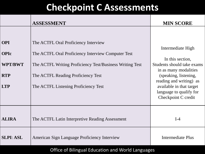## **Checkpoint C Assessments**

|                                                                         | <b>ASSESSMENT</b>                                                                                                                                                                                                                    | <b>MIN SCORE</b>                                                                                                                                                                                                               |
|-------------------------------------------------------------------------|--------------------------------------------------------------------------------------------------------------------------------------------------------------------------------------------------------------------------------------|--------------------------------------------------------------------------------------------------------------------------------------------------------------------------------------------------------------------------------|
| <b>OPI</b><br><b>OPIc</b><br><b>WPT/BWT</b><br><b>RTP</b><br><b>LTP</b> | The ACTFL Oral Proficiency Interview<br>The ACTFL Oral Proficiency Interview Computer Test<br>The ACTFL Writing Proficiency Test/Business Writing Test<br>The ACTFL Reading Proficiency Test<br>The ACTFL Listening Proficiency Test | Intermediate High<br>In this section,<br>Students should take exams<br>in as many modalities<br>(speaking, listening,<br>reading and writing) as<br>available in that target<br>language to qualify for<br>Checkpoint C credit |
| <b>ALIRA</b>                                                            | The ACTFL Latin Interpretive Reading Assessment                                                                                                                                                                                      | $I-4$                                                                                                                                                                                                                          |
| <b>SLPI: ASL</b>                                                        | American Sign Language Proficiency Interview                                                                                                                                                                                         | <b>Intermediate Plus</b>                                                                                                                                                                                                       |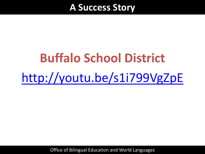#### **A Success Story**

# **Buffalo School District** <http://youtu.be/s1i799VgZpE>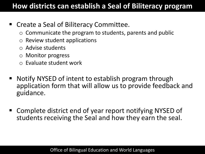#### **How districts can establish a Seal of Biliteracy program**

- Create a Seal of Biliteracy Committee.
	- $\circ$  Communicate the program to students, parents and public
	- o Review student applications
	- o Advise students
	- o Monitor progress
	- $\circ$  Evaluate student work
- Notify NYSED of intent to establish program through application form that will allow us to provide feedback and guidance.
- Complete district end of year report notifying NYSED of students receiving the Seal and how they earn the seal.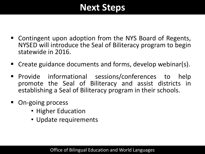### **Next Steps**

- Contingent upon adoption from the NYS Board of Regents, NYSED will introduce the Seal of Biliteracy program to begin statewide in 2016.
- Create guidance documents and forms, develop webinar(s).
- **Provide informational sessions/conferences to help** promote the Seal of Biliteracy and assist districts in establishing a Seal of Biliteracy program in their schools.
- On-going process
	- Higher Education
	- Update requirements